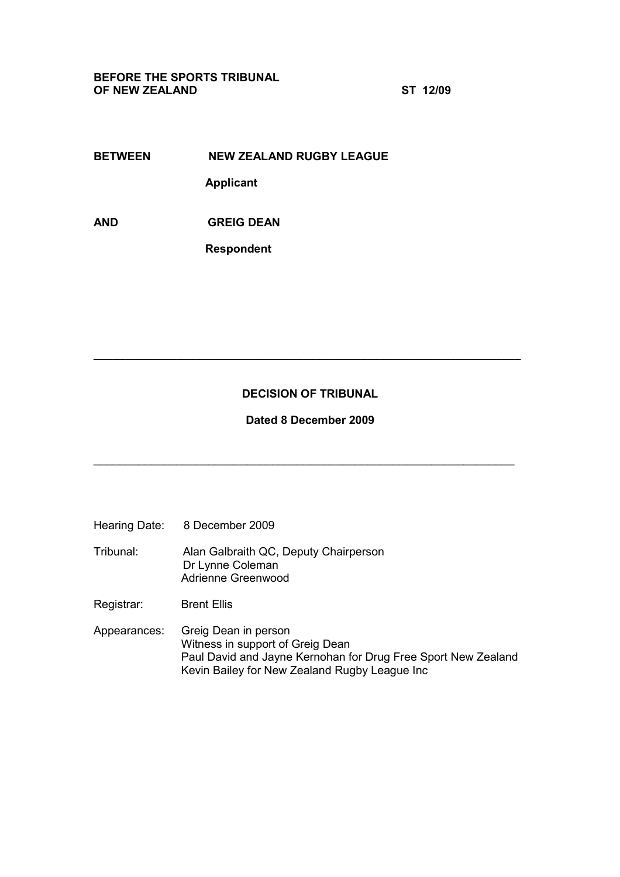BEFORE THE SPORTS TRIBUNAL OF NEW ZEALAND ST 12/09

BETWEEN NEW ZEALAND RUGBY LEAGUE Applicant

AND GREIG DEAN

Respondent

## DECISION OF TRIBUNAL

 $\_$ 

Dated 8 December 2009

\_\_\_\_\_\_\_\_\_\_\_\_\_\_\_\_\_\_\_\_\_\_\_\_\_\_\_\_\_\_\_\_\_\_\_\_\_\_\_\_\_\_\_\_\_\_\_\_\_\_\_\_\_\_\_\_\_\_\_\_\_\_\_\_\_\_

- Hearing Date: 8 December 2009
- Tribunal: Alan Galbraith QC, Deputy Chairperson Dr Lynne Coleman Adrienne Greenwood
- Registrar: Brent Ellis
- Appearances: Greig Dean in person Witness in support of Greig Dean Paul David and Jayne Kernohan for Drug Free Sport New Zealand Kevin Bailey for New Zealand Rugby League Inc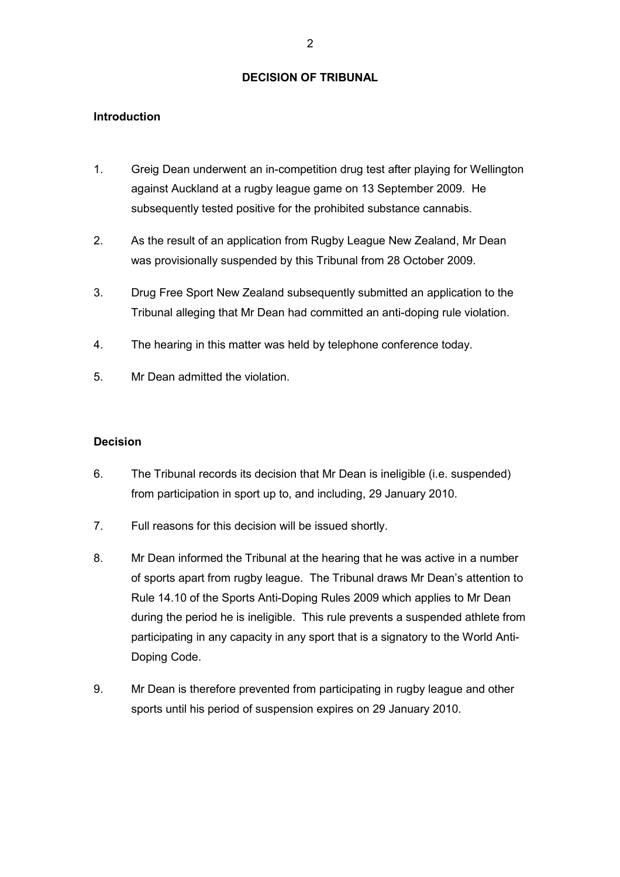## DECISION OF TRIBUNAL

## Introduction

- 1. Greig Dean underwent an in-competition drug test after playing for Wellington against Auckland at a rugby league game on 13 September 2009. He subsequently tested positive for the prohibited substance cannabis.
- 2. As the result of an application from Rugby League New Zealand, Mr Dean was provisionally suspended by this Tribunal from 28 October 2009.
- 3. Drug Free Sport New Zealand subsequently submitted an application to the Tribunal alleging that Mr Dean had committed an anti-doping rule violation.
- 4. The hearing in this matter was held by telephone conference today.
- 5. Mr Dean admitted the violation.

## **Decision**

- 6. The Tribunal records its decision that Mr Dean is ineligible (i.e. suspended) from participation in sport up to, and including, 29 January 2010.
- 7. Full reasons for this decision will be issued shortly.
- 8. Mr Dean informed the Tribunal at the hearing that he was active in a number of sports apart from rugby league. The Tribunal draws Mr Dean's attention to Rule 14.10 of the Sports Anti-Doping Rules 2009 which applies to Mr Dean during the period he is ineligible. This rule prevents a suspended athlete from participating in any capacity in any sport that is a signatory to the World Anti-Doping Code.
- 9. Mr Dean is therefore prevented from participating in rugby league and other sports until his period of suspension expires on 29 January 2010.